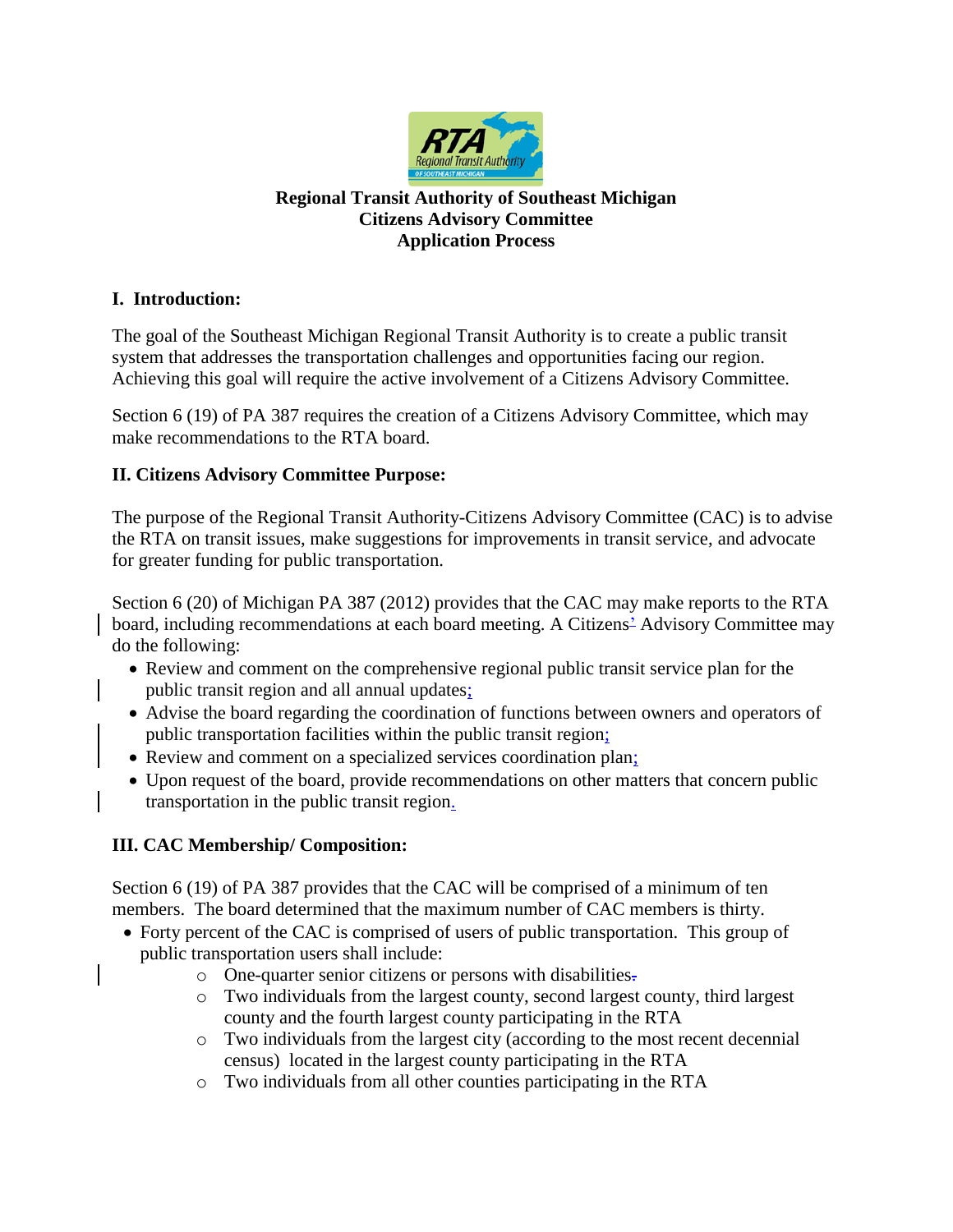

#### **Regional Transit Authority of Southeast Michigan Citizens Advisory Committee Application Process**

### **I. Introduction:**

The goal of the Southeast Michigan Regional Transit Authority is to create a public transit system that addresses the transportation challenges and opportunities facing our region. Achieving this goal will require the active involvement of a Citizens Advisory Committee.

Section 6 (19) of PA 387 requires the creation of a Citizens Advisory Committee, which may make recommendations to the RTA board.

### **II. Citizens Advisory Committee Purpose:**

The purpose of the Regional Transit Authority-Citizens Advisory Committee (CAC) is to advise the RTA on transit issues, make suggestions for improvements in transit service, and advocate for greater funding for public transportation.

Section 6 (20) of Michigan PA 387 (2012) provides that the CAC may make reports to the RTA board, including recommendations at each board meeting. A Citizens' Advisory Committee may do the following:

- Review and comment on the comprehensive regional public transit service plan for the public transit region and all annual updates;
- Advise the board regarding the coordination of functions between owners and operators of public transportation facilities within the public transit region;
- Review and comment on a specialized services coordination plan;
- Upon request of the board, provide recommendations on other matters that concern public transportation in the public transit region.

## **III. CAC Membership/ Composition:**

Section 6 (19) of PA 387 provides that the CAC will be comprised of a minimum of ten members. The board determined that the maximum number of CAC members is thirty.

- Forty percent of the CAC is comprised of users of public transportation. This group of public transportation users shall include:
	- o One-quarter senior citizens or persons with disabilities.
	- o Two individuals from the largest county, second largest county, third largest county and the fourth largest county participating in the RTA
	- o Two individuals from the largest city (according to the most recent decennial census) located in the largest county participating in the RTA
	- o Two individuals from all other counties participating in the RTA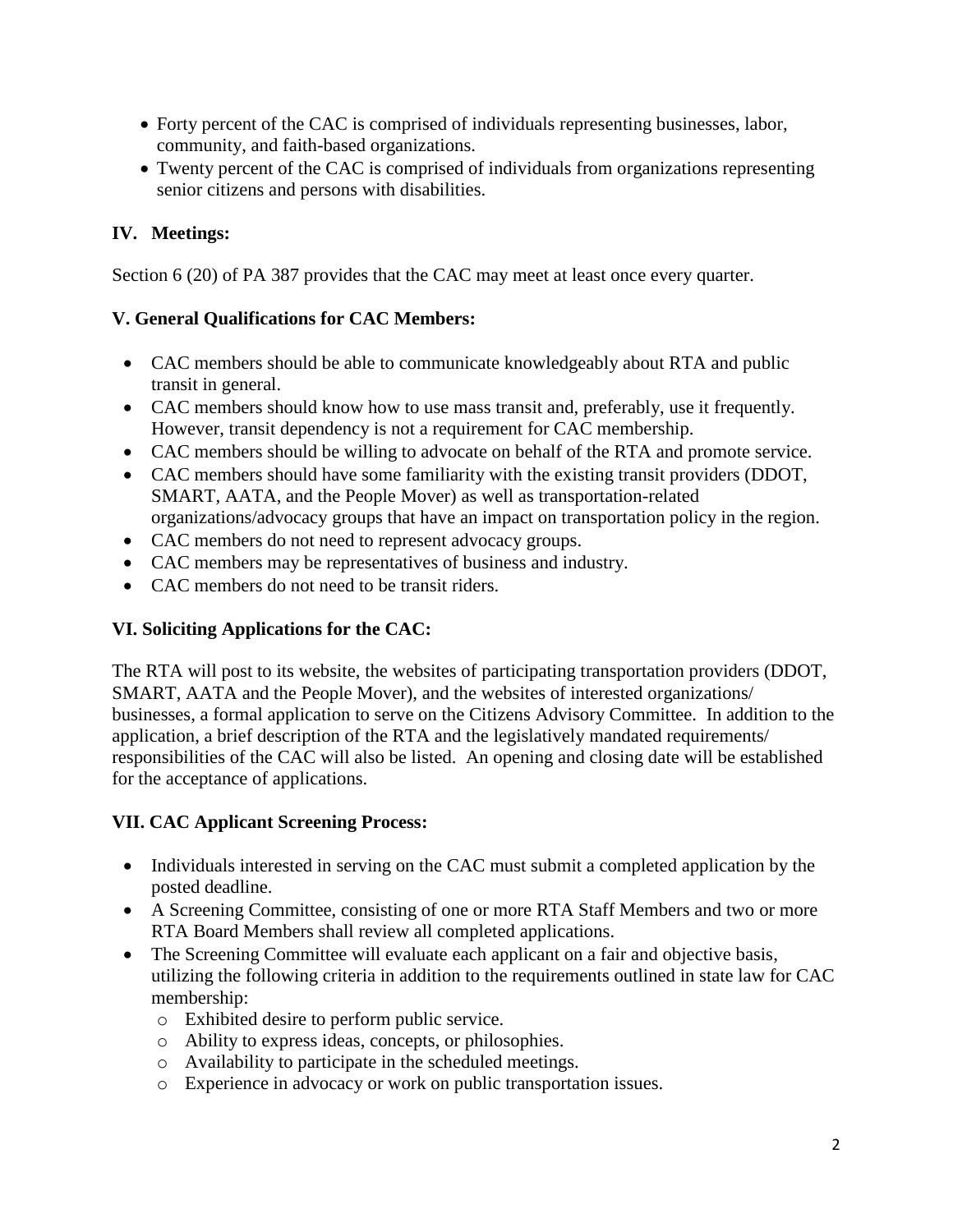- Forty percent of the CAC is comprised of individuals representing businesses, labor, community, and faith-based organizations.
- Twenty percent of the CAC is comprised of individuals from organizations representing senior citizens and persons with disabilities.

# **IV. Meetings:**

Section 6 (20) of PA 387 provides that the CAC may meet at least once every quarter.

## **V. General Qualifications for CAC Members:**

- CAC members should be able to communicate knowledgeably about RTA and public transit in general.
- CAC members should know how to use mass transit and, preferably, use it frequently. However, transit dependency is not a requirement for CAC membership.
- CAC members should be willing to advocate on behalf of the RTA and promote service.
- CAC members should have some familiarity with the existing transit providers (DDOT, SMART, AATA, and the People Mover) as well as transportation-related organizations/advocacy groups that have an impact on transportation policy in the region.
- CAC members do not need to represent advocacy groups.
- CAC members may be representatives of business and industry.
- CAC members do not need to be transit riders.

## **VI. Soliciting Applications for the CAC:**

The RTA will post to its website, the websites of participating transportation providers (DDOT, SMART, AATA and the People Mover), and the websites of interested organizations/ businesses, a formal application to serve on the Citizens Advisory Committee. In addition to the application, a brief description of the RTA and the legislatively mandated requirements/ responsibilities of the CAC will also be listed. An opening and closing date will be established for the acceptance of applications.

## **VII. CAC Applicant Screening Process:**

- Individuals interested in serving on the CAC must submit a completed application by the posted deadline.
- A Screening Committee, consisting of one or more RTA Staff Members and two or more RTA Board Members shall review all completed applications.
- The Screening Committee will evaluate each applicant on a fair and objective basis, utilizing the following criteria in addition to the requirements outlined in state law for CAC membership:
	- o Exhibited desire to perform public service.
	- o Ability to express ideas, concepts, or philosophies.
	- o Availability to participate in the scheduled meetings.
	- o Experience in advocacy or work on public transportation issues.